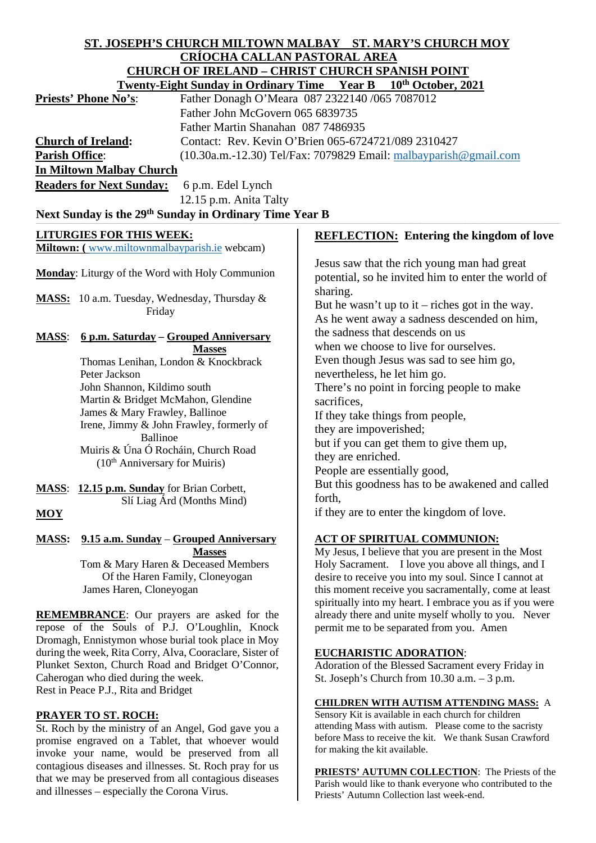# **ST. JOSEPH'S CHURCH MILTOWN MALBAY ST. MARY'S CHURCH MOY CRÍOCHA CALLAN PASTORAL AREA CHURCH OF IRELAND – CHRIST CHURCH SPANISH POINT**

|                                                             | <b>Twenty-Eight Sunday in Ordinary Time Year B</b> | $10th$ October, 2021                                                |
|-------------------------------------------------------------|----------------------------------------------------|---------------------------------------------------------------------|
| <b>Priests' Phone No's:</b>                                 |                                                    | Father Donagh O'Meara 087 2322140 /065 7087012                      |
|                                                             | Father John McGovern 065 6839735                   |                                                                     |
|                                                             | Father Martin Shanahan 087 7486935                 |                                                                     |
| <b>Church of Ireland:</b>                                   |                                                    | Contact: Rev. Kevin O'Brien 065-6724721/089 2310427                 |
| Parish Office:                                              |                                                    | $(10.30a.m.-12.30)$ Tel/Fax: 7079829 Email: malbayparish @gmail.com |
| <b>In Miltown Malbay Church</b>                             |                                                    |                                                                     |
| <b>Readers for Next Sunday:</b><br>6 p.m. Edel Lynch        |                                                    |                                                                     |
|                                                             | 12.15 p.m. Anita Talty                             |                                                                     |
| Next Sunday is the 29th Sunday in Ordinary Time Year B      |                                                    |                                                                     |
|                                                             |                                                    |                                                                     |
| <b>LITURGIES FOR THIS WEEK:</b>                             |                                                    | <b>REFLECTION:</b> Entering the kingdom of love                     |
| Miltown: (www.miltownmalbayparish.ie webcam)                |                                                    |                                                                     |
| Monday: Liturgy of the Word with Holy Communion             |                                                    | Jesus saw that the rich young man had great                         |
|                                                             |                                                    | potential, so he invited him to enter the world of                  |
| MASS: 10 a.m. Tuesday, Wednesday, Thursday &                |                                                    | sharing.                                                            |
| Friday                                                      |                                                    | But he wasn't up to it – riches got in the way.                     |
|                                                             |                                                    | As he went away a sadness descended on him,                         |
| 6 p.m. Saturday - Grouped Anniversary<br><b>MASS:</b>       |                                                    | the sadness that descends on us                                     |
|                                                             | <b>Masses</b>                                      | when we choose to live for ourselves.                               |
| Thomas Lenihan, London & Knockbrack                         |                                                    | Even though Jesus was sad to see him go,                            |
| Peter Jackson                                               |                                                    | nevertheless, he let him go.                                        |
| John Shannon, Kildimo south                                 |                                                    | There's no point in forcing people to make                          |
| Martin & Bridget McMahon, Glendine                          |                                                    | sacrifices,                                                         |
| James & Mary Frawley, Ballinoe                              |                                                    | If they take things from people,                                    |
| Irene, Jimmy & John Frawley, formerly of<br><b>Ballinoe</b> |                                                    | they are impoverished;                                              |
| Muiris & Úna Ó Rocháin, Church Road                         |                                                    | but if you can get them to give them up,                            |
| $(10th$ Anniversary for Muiris)                             |                                                    | they are enriched.                                                  |
|                                                             |                                                    | People are essentially good,                                        |
| MASS: 12.15 p.m. Sunday for Brian Corbett,                  |                                                    | But this goodness has to be awakened and called                     |
| Slí Liag Árd (Months Mind)                                  |                                                    | forth,                                                              |
| <b>MOY</b>                                                  |                                                    | if they are to enter the kingdom of love.                           |
| 9.15 a.m. Sunday - Grouped Anniversary<br><b>MASS:</b>      |                                                    | <b>ACT OF SPIRITUAL COMMUNION:</b>                                  |
|                                                             | <b>Masses</b>                                      | My Jesus, I believe that you are present in the Most                |
| Tom & Mary Haren & Deceased Members                         |                                                    | Holy Sacrament. I love you above all things, and I                  |
|                                                             | Of the Haren Family, Cloneyogan                    | desire to receive you into my soul. Since I cannot at               |
| James Haren, Cloneyogan                                     |                                                    | this moment receive you sacramentally, come at least                |
|                                                             |                                                    | spiritually into my heart. I embrace you as if you were             |
| REMEMBRANCE: Our prayers are asked for the                  |                                                    | already there and unite myself wholly to you. Never                 |
| repose of the Souls of P.J. O'Loughlin, Knock               |                                                    | permit me to be separated from you. Amen                            |
| Dromagh, Ennistymon whose burial took place in Moy          |                                                    |                                                                     |
| during the week, Rita Corry, Alva, Cooraclare, Sister of    |                                                    | <b>EUCHARISTIC ADORATION:</b>                                       |
| Plunket Sexton, Church Road and Bridget O'Connor,           |                                                    | Adoration of the Blessed Sacrament every Friday in                  |
| Caherogan who died during the week.                         |                                                    | St. Joseph's Church from $10.30$ a.m. $-3$ p.m.                     |
| Rest in Peace P.J., Rita and Bridget                        |                                                    | <b>CHILDREN WITH AUTISM ATTENDING MASS: A</b>                       |
| <b>PRAYER TO ST. ROCH:</b>                                  |                                                    | Sensory Kit is available in each church for children                |
| St. Roch by the ministry of an Angel. God gave you a        |                                                    | attending Mass with autism. Please come to the sacristy             |

St. Roch by the ministry of an Angel, God gave you a promise engraved on a Tablet, that whoever would invoke your name, would be preserved from all contagious diseases and illnesses. St. Roch pray for us that we may be preserved from all contagious diseases and illnesses – especially the Corona Virus.

**PRIESTS' AUTUMN COLLECTION**: The Priests of the Parish would like to thank everyone who contributed to the Priests' Autumn Collection last week-end.

before Mass to receive the kit. We thank Susan Crawford

for making the kit available.